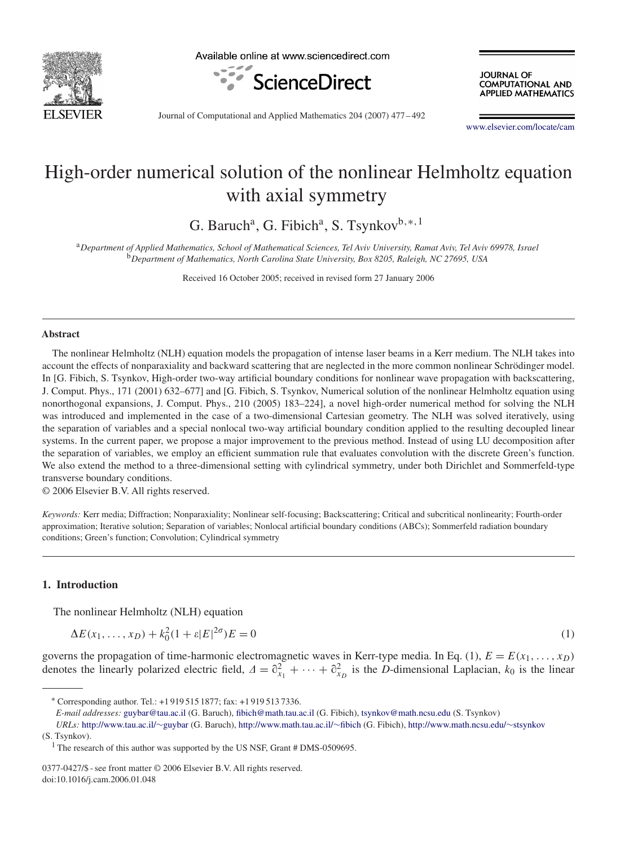

Available online at www.sciencedirect.com



**JOURNAL OF COMPUTATIONAL AND APPLIED MATHEMATICS** 

Journal of Computational and Applied Mathematics 204 (2007) 477 – 492

[www.elsevier.com/locate/cam](http://www.elsevier.com/locate/cam)

# High-order numerical solution of the nonlinear Helmholtz equation with axial symmetry

G. Baruch<sup>a</sup>, G. Fibich<sup>a</sup>, S. Tsynkov<sup>b,∗,1</sup>

<sup>a</sup>*Department of Applied Mathematics, School of Mathematical Sciences, Tel Aviv University, Ramat Aviv, Tel Aviv 69978, Israel* <sup>b</sup>*Department of Mathematics, North Carolina State University, Box 8205, Raleigh, NC 27695, USA*

Received 16 October 2005; received in revised form 27 January 2006

#### **Abstract**

The nonlinear Helmholtz (NLH) equation models the propagation of intense laser beams in a Kerr medium. The NLH takes into account the effects of nonparaxiality and backward scattering that are neglected in the more common nonlinear Schrödinger model. In [G. Fibich, S. Tsynkov, High-order two-way artificial boundary conditions for nonlinear wave propagation with backscattering, J. Comput. Phys., 171 (2001) 632–677] and [G. Fibich, S. Tsynkov, Numerical solution of the nonlinear Helmholtz equation using nonorthogonal expansions, J. Comput. Phys., 210 (2005) 183–224], a novel high-order numerical method for solving the NLH was introduced and implemented in the case of a two-dimensional Cartesian geometry. The NLH was solved iteratively, using the separation of variables and a special nonlocal two-way artificial boundary condition applied to the resulting decoupled linear systems. In the current paper, we propose a major improvement to the previous method. Instead of using LU decomposition after the separation of variables, we employ an efficient summation rule that evaluates convolution with the discrete Green's function. We also extend the method to a three-dimensional setting with cylindrical symmetry, under both Dirichlet and Sommerfeld-type transverse boundary conditions.

© 2006 Elsevier B.V. All rights reserved.

*Keywords:* Kerr media; Diffraction; Nonparaxiality; Nonlinear self-focusing; Backscattering; Critical and subcritical nonlinearity; Fourth-order approximation; Iterative solution; Separation of variables; Nonlocal artificial boundary conditions (ABCs); Sommerfeld radiation boundary conditions; Green's function; Convolution; Cylindrical symmetry

# **1. Introduction**

The nonlinear Helmholtz (NLH) equation

$$
\Delta E(x_1, \dots, x_D) + k_0^2 (1 + \varepsilon |E|^{2\sigma}) E = 0 \tag{1}
$$

governs the propagation of time-harmonic electromagnetic waves in Kerr-type media. In Eq. (1),  $E = E(x_1, \ldots, x_D)$ denotes the linearly polarized electric field,  $\Delta = \partial_{x_1}^2 + \cdots + \partial_{x_D}^2$  is the *D*-dimensional Laplacian,  $k_0$  is the linear

*URLs:* [http://www.tau.ac.il/](http://www.tau.ac.il/~guybar)∼guybar (G. Baruch), [http://www.math.tau.ac.il/](http://www.math.tau.ac.il/~fibich)∼fibich (G. Fibich), [http://www.math.ncsu.edu/](http://www.math.ncsu.edu/~stsynkov)∼stsynkov (S. Tsynkov).

<sup>∗</sup> Corresponding author. Tel.: +1 919 515 1877; fax: +1 919 513 7336.

*E-mail addresses:* [guybar@tau.ac.il](mailto:guybar@tau.ac.il) (G. Baruch), [fibich@math.tau.ac.il](mailto:fibich@math.tau.ac.il) (G. Fibich), [tsynkov@math.ncsu.edu](mailto:tsynkov@math.ncsu.edu) (S. Tsynkov)

<sup>&</sup>lt;sup>1</sup> The research of this author was supported by the US NSF, Grant  $#$  DMS-0509695.

<sup>0377-0427/\$ -</sup> see front matter © 2006 Elsevier B.V. All rights reserved. doi:10.1016/j.cam.2006.01.048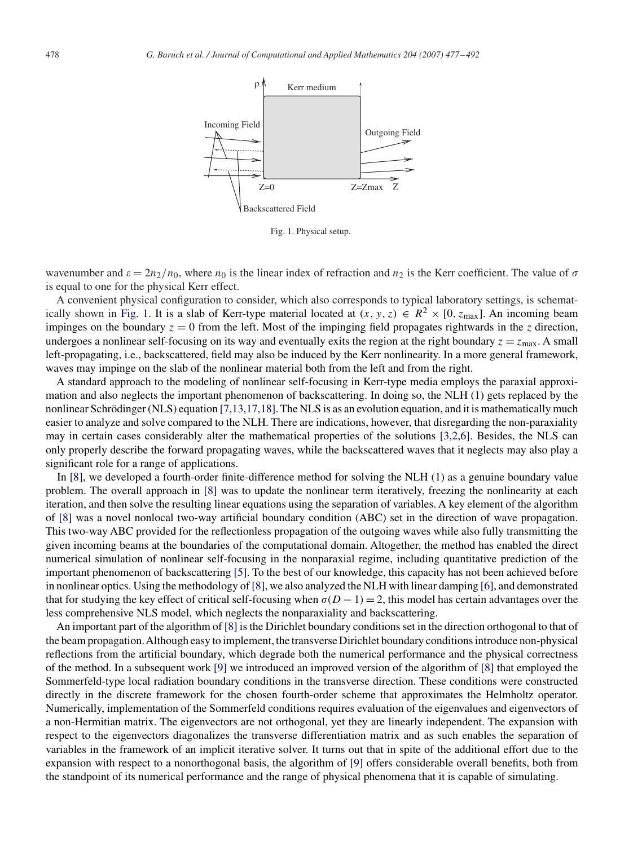

Fig. 1. Physical setup.

wavenumber and  $\varepsilon = 2n_2/n_0$ , where  $n_0$  is the linear index of refraction and  $n_2$  is the Kerr coefficient. The value of  $\sigma$ is equal to one for the physical Kerr effect.

A convenient physical configuration to consider, which also corresponds to typical laboratory settings, is schematically shown in Fig. 1. It is a slab of Kerr-type material located at  $(x, y, z) \in R^2 \times [0, z_{\text{max}}]$ . An incoming beam impinges on the boundary  $z = 0$  from the left. Most of the impinging field propagates rightwards in the *z* direction, undergoes a nonlinear self-focusing on its way and eventually exits the region at the right boundary  $z = z_{\text{max}}$ . A small left-propagating, i.e., backscattered, field may also be induced by the Kerr nonlinearity. In a more general framework, waves may impinge on the slab of the nonlinear material both from the left and from the right.

A standard approach to the modeling of nonlinear self-focusing in Kerr-type media employs the paraxial approximation and also neglects the important phenomenon of backscattering. In doing so, the NLH (1) gets replaced by the nonlinear Schrödinger (NLS) equation [7,13,17,18]. The NLS is as an evolution equation, and it is mathematically much easier to analyze and solve compared to the NLH. There are indications, however, that disregarding the non-paraxiality may in certain cases considerably alter the mathematical properties of the solutions [3,2,6]. Besides, the NLS can only properly describe the forward propagating waves, while the backscattered waves that it neglects may also play a significant role for a range of applications.

In [\[8\],](#page-15-0) we developed a fourth-order finite-difference method for solving the NLH (1) as a genuine boundary value problem. The overall approach in [\[8\]](#page-15-0) was to update the nonlinear term iteratively, freezing the nonlinearity at each iteration, and then solve the resulting linear equations using the separation of variables. A key element of the algorithm of [\[8\]](#page-15-0) was a novel nonlocal two-way artificial boundary condition (ABC) set in the direction of wave propagation. This two-way ABC provided for the reflectionless propagation of the outgoing waves while also fully transmitting the given incoming beams at the boundaries of the computational domain. Altogether, the method has enabled the direct numerical simulation of nonlinear self-focusing in the nonparaxial regime, including quantitative prediction of the important phenomenon of backscattering [\[5\].](#page-15-0) To the best of our knowledge, this capacity has not been achieved before in nonlinear optics. Using the methodology of [\[8\],](#page-15-0) we also analyzed the NLH with linear damping [\[6\],](#page-15-0) and demonstrated that for studying the key effect of critical self-focusing when  $\sigma(D-1)=2$ , this model has certain advantages over the less comprehensive NLS model, which neglects the nonparaxiality and backscattering.

An important part of the algorithm of [\[8\]](#page-15-0) is the Dirichlet boundary conditions set in the direction orthogonal to that of the beam propagation.Although easy to implement, the transverse Dirichlet boundary conditions introduce non-physical reflections from the artificial boundary, which degrade both the numerical performance and the physical correctness of the method. In a subsequent work [\[9\]](#page-15-0) we introduced an improved version of the algorithm of [\[8\]](#page-15-0) that employed the Sommerfeld-type local radiation boundary conditions in the transverse direction. These conditions were constructed directly in the discrete framework for the chosen fourth-order scheme that approximates the Helmholtz operator. Numerically, implementation of the Sommerfeld conditions requires evaluation of the eigenvalues and eigenvectors of a non-Hermitian matrix. The eigenvectors are not orthogonal, yet they are linearly independent. The expansion with respect to the eigenvectors diagonalizes the transverse differentiation matrix and as such enables the separation of variables in the framework of an implicit iterative solver. It turns out that in spite of the additional effort due to the expansion with respect to a nonorthogonal basis, the algorithm of [\[9\]](#page-15-0) offers considerable overall benefits, both from the standpoint of its numerical performance and the range of physical phenomena that it is capable of simulating.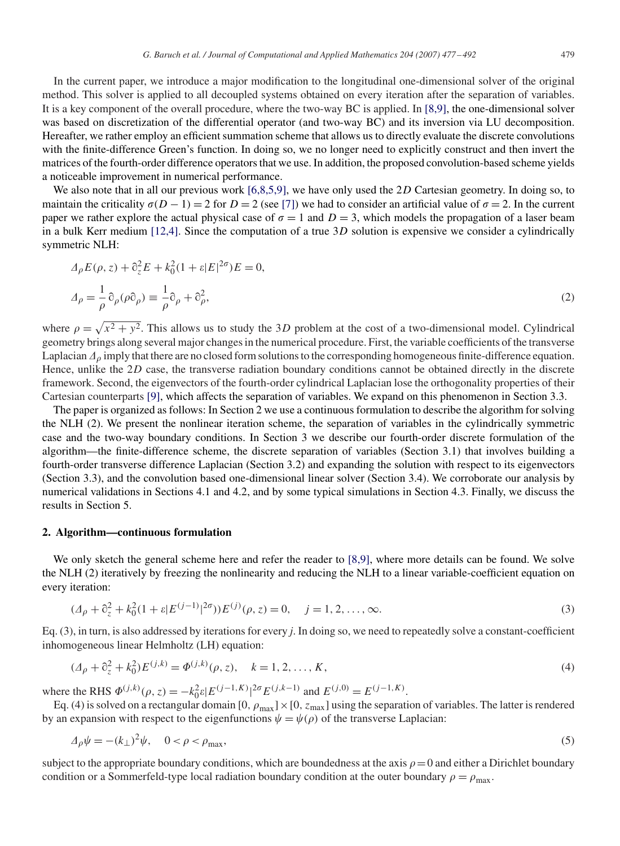In the current paper, we introduce a major modification to the longitudinal one-dimensional solver of the original method. This solver is applied to all decoupled systems obtained on every iteration after the separation of variables. It is a key component of the overall procedure, where the two-way BC is applied. In [8,9], the one-dimensional solver was based on discretization of the differential operator (and two-way BC) and its inversion via LU decomposition. Hereafter, we rather employ an efficient summation scheme that allows us to directly evaluate the discrete convolutions with the finite-difference Green's function. In doing so, we no longer need to explicitly construct and then invert the matrices of the fourth-order difference operators that we use. In addition, the proposed convolution-based scheme yields a noticeable improvement in numerical performance.

We also note that in all our previous work [6,8,5,9], we have only used the 2D Cartesian geometry. In doing so, to maintain the criticality  $\sigma(D-1) = 2$  for  $D = 2$  (see [\[7\]\)](#page-15-0) we had to consider an artificial value of  $\sigma = 2$ . In the current paper we rather explore the actual physical case of  $\sigma = 1$  and  $D = 3$ , which models the propagation of a laser beam in a bulk Kerr medium [12,4]. Since the computation of a true 3*D* solution is expensive we consider a cylindrically symmetric NLH:

$$
\Delta_{\rho} E(\rho, z) + \partial_z^2 E + k_0^2 (1 + \varepsilon |E|^{2\sigma}) E = 0,
$$
  

$$
\Delta_{\rho} = \frac{1}{\rho} \partial_{\rho} (\rho \partial_{\rho}) \equiv \frac{1}{\rho} \partial_{\rho} + \partial_{\rho}^2,
$$
 (2)

where  $\rho = \sqrt{x^2 + y^2}$ . This allows us to study the 3*D* problem at the cost of a two-dimensional model. Cylindrical geometry brings along several major changes in the numerical procedure. First, the variable coefficients of the transverse Laplacian  $\Delta_{\rho}$  imply that there are no closed form solutions to the corresponding homogeneous finite-difference equation. Hence, unlike the 2*D* case, the transverse radiation boundary conditions cannot be obtained directly in the discrete framework. Second, the eigenvectors of the fourth-order cylindrical Laplacian lose the orthogonality properties of their Cartesian counterparts [\[9\],](#page-15-0) which affects the separation of variables. We expand on this phenomenon in Section 3.3.

The paper is organized as follows: In Section 2 we use a continuous formulation to describe the algorithm for solving the NLH (2). We present the nonlinear iteration scheme, the separation of variables in the cylindrically symmetric case and the two-way boundary conditions. In Section 3 we describe our fourth-order discrete formulation of the algorithm—the finite-difference scheme, the discrete separation of variables (Section 3.1) that involves building a fourth-order transverse difference Laplacian (Section 3.2) and expanding the solution with respect to its eigenvectors (Section 3.3), and the convolution based one-dimensional linear solver (Section 3.4). We corroborate our analysis by numerical validations in Sections 4.1 and 4.2, and by some typical simulations in Section 4.3. Finally, we discuss the results in Section 5.

#### **2. Algorithm—continuous formulation**

We only sketch the general scheme here and refer the reader to [8,9], where more details can be found. We solve the NLH (2) iteratively by freezing the nonlinearity and reducing the NLH to a linear variable-coefficient equation on every iteration:

$$
(\Delta_{\rho} + \partial_z^2 + k_0^2 (1 + \varepsilon |E^{(j-1)}|^{2\sigma})) E^{(j)}(\rho, z) = 0, \quad j = 1, 2, ..., \infty.
$$
 (3)

Eq. (3), in turn, is also addressed by iterations for every *j*. In doing so, we need to repeatedly solve a constant-coefficient inhomogeneous linear Helmholtz (LH) equation:

$$
(\Delta_{\rho} + \partial_z^2 + k_0^2) E^{(j,k)} = \Phi^{(j,k)}(\rho, z), \quad k = 1, 2, ..., K,
$$
\n(4)

where the RHS  $\Phi^{(j,k)}(\rho, z) = -k_0^2 \varepsilon |E^{(j-1,K)}|^{2\sigma} E^{(j,k-1)}$  and  $E^{(j,0)} = E^{(j-1,K)}$ .

Eq. (4) is solved on a rectangular domain [0,  $\rho_{max}$ ] × [0,  $z_{max}$ ] using the separation of variables. The latter is rendered by an expansion with respect to the eigenfunctions  $\psi = \psi(\rho)$  of the transverse Laplacian:

$$
\Delta_{\rho}\psi = -(k_{\perp})^2\psi, \quad 0 < \rho < \rho_{\text{max}},\tag{5}
$$

subject to the appropriate boundary conditions, which are boundedness at the axis  $\rho = 0$  and either a Dirichlet boundary condition or a Sommerfeld-type local radiation boundary condition at the outer boundary  $\rho = \rho_{\text{max}}$ .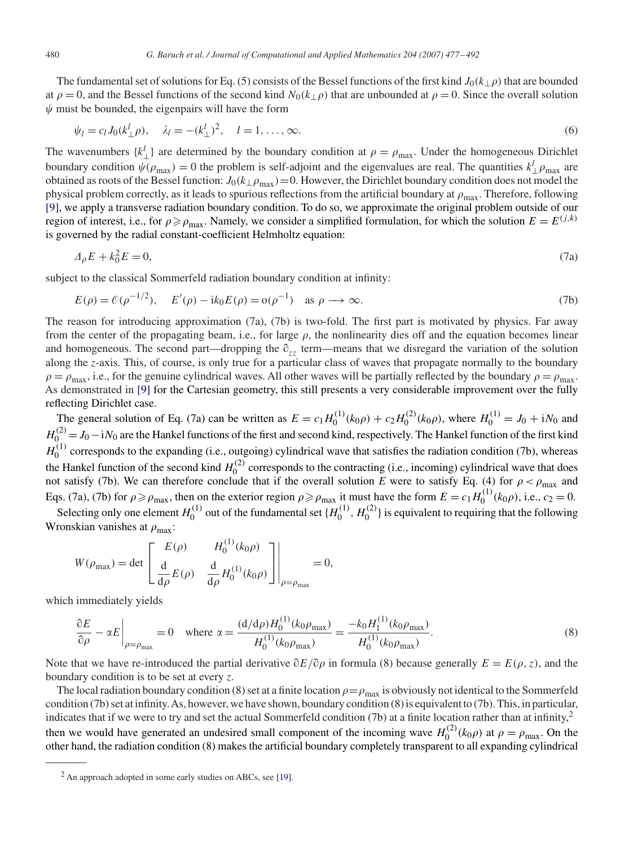The fundamental set of solutions for Eq. (5) consists of the Bessel functions of the first kind  $J_0(k_\perp \rho)$  that are bounded at  $\rho = 0$ , and the Bessel functions of the second kind  $N_0(k_\perp \rho)$  that are unbounded at  $\rho = 0$ . Since the overall solution  $\psi$  must be bounded, the eigenpairs will have the form

$$
\psi_l = c_l J_0 (k_\perp^l \rho), \quad \lambda_l = -(k_\perp^l)^2, \quad l = 1, ..., \infty.
$$
\n(6)

The wavenumbers  $\{k_\perp^l\}$  are determined by the boundary condition at  $\rho = \rho_{\text{max}}$ . Under the homogeneous Dirichlet boundary condition  $\psi(\rho_{\text{max}}) = 0$  the problem is self-adjoint and the eigenvalues are real. The quantities  $k_\perp^l \rho_{\text{max}}$  are obtained as roots of the Bessel function:  $J_0(k_\perp \rho_{\text{max}})=0$ . However, the Dirichlet boundary condition does not model the physical problem correctly, as it leads to spurious reflections from the artificial boundary at  $\rho_{\text{max}}$ . Therefore, following [\[9\],](#page-15-0) we apply a transverse radiation boundary condition. To do so, we approximate the original problem outside of our region of interest, i.e., for  $\rho \ge \rho_{\text{max}}$ . Namely, we consider a simplified formulation, for which the solution  $E = E^{(j,k)}$ is governed by the radial constant-coefficient Helmholtz equation:

$$
\Delta_{\rho}E + k_0^2 E = 0,\tag{7a}
$$

subject to the classical Sommerfeld radiation boundary condition at infinity:

$$
E(\rho) = \mathcal{O}(\rho^{-1/2}), \quad E'(\rho) - ik_0 E(\rho) = o(\rho^{-1}) \quad \text{as } \rho \longrightarrow \infty.
$$
 (7b)

The reason for introducing approximation (7a), (7b) is two-fold. The first part is motivated by physics. Far away from the center of the propagating beam, i.e., for large  $\rho$ , the nonlinearity dies off and the equation becomes linear and homogeneous. The second part—dropping the  $\partial_{zz}$  term—means that we disregard the variation of the solution along the *z*-axis. This, of course, is only true for a particular class of waves that propagate normally to the boundary  $\rho = \rho_{\text{max}}$ , i.e., for the genuine cylindrical waves. All other waves will be partially reflected by the boundary  $\rho = \rho_{\text{max}}$ . As demonstrated in [\[9\]](#page-15-0) for the Cartesian geometry, this still presents a very considerable improvement over the fully reflecting Dirichlet case.

The general solution of Eq. (7a) can be written as  $E = c_1 H_0^{(1)}(k_0 \rho) + c_2 H_0^{(2)}(k_0 \rho)$ , where  $H_0^{(1)} = J_0 + iN_0$  and  $H_0^{(2)} = J_0 - iN_0$  are the Hankel functions of the first and second kind, respectively. The Hankel function of the first kind  $H_0^{(1)}$  corresponds to the expanding (i.e., outgoing) cylindrical wave that satisfies the radiation condition (7b), whereas the Hankel function of the second kind  $H_0^{(2)}$  corresponds to the contracting (i.e., incoming) cylindrical wave that does not satisfy (7b). We can therefore conclude that if the overall solution *E* were to satisfy Eq. (4) for  $\rho < \rho_{\text{max}}$  and Eqs. (7a), (7b) for  $\rho \ge \rho_{\text{max}}$ , then on the exterior region  $\rho \ge \rho_{\text{max}}$  it must have the form  $E = c_1 H_0^{(1)}(k_0 \rho)$ , i.e.,  $c_2 = 0$ .

Selecting only one element  $H_0^{(1)}$  out of the fundamental set  $\{H_0^{(1)}, H_0^{(2)}\}$  is equivalent to requiring that the following Wronskian vanishes at  $\rho_{\text{max}}$ :

$$
W(\rho_{\text{max}}) = \det \begin{bmatrix} E(\rho) & H_0^{(1)}(k_0 \rho) \\ \frac{d}{d\rho} E(\rho) & \frac{d}{d\rho} H_0^{(1)}(k_0 \rho) \end{bmatrix} \bigg|_{\rho = \rho_{\text{max}}} = 0,
$$

which immediately yields

$$
\left. \frac{\partial E}{\partial \rho} - \alpha E \right|_{\rho = \rho_{\text{max}}} = 0 \quad \text{where } \alpha = \frac{(d/d\rho)H_0^{(1)}(k_0\rho_{\text{max}})}{H_0^{(1)}(k_0\rho_{\text{max}})} = \frac{-k_0H_1^{(1)}(k_0\rho_{\text{max}})}{H_0^{(1)}(k_0\rho_{\text{max}})}.
$$
\n(8)

Note that we have re-introduced the partial derivative  $\partial E/\partial \rho$  in formula (8) because generally  $E = E(\rho, z)$ , and the boundary condition is to be set at every *z*.

The local radiation boundary condition (8) set at a finite location  $\rho = \rho_{\text{max}}$  is obviously not identical to the Sommerfeld condition (7b) set at infinity.As, however, we have shown, boundary condition (8) is equivalent to (7b). This, in particular, indicates that if we were to try and set the actual Sommerfeld condition  $(7b)$  at a finite location rather than at infinity,<sup>2</sup> then we would have generated an undesired small component of the incoming wave  $H_0^{(2)}(k_0 \rho)$  at  $\rho = \rho_{\text{max}}$ . On the other hand, the radiation condition (8) makes the artificial boundary completely transparent to all expanding cylindrical

 $2$  An approach adopted in some early studies on ABCs, see [\[19\].](#page-15-0)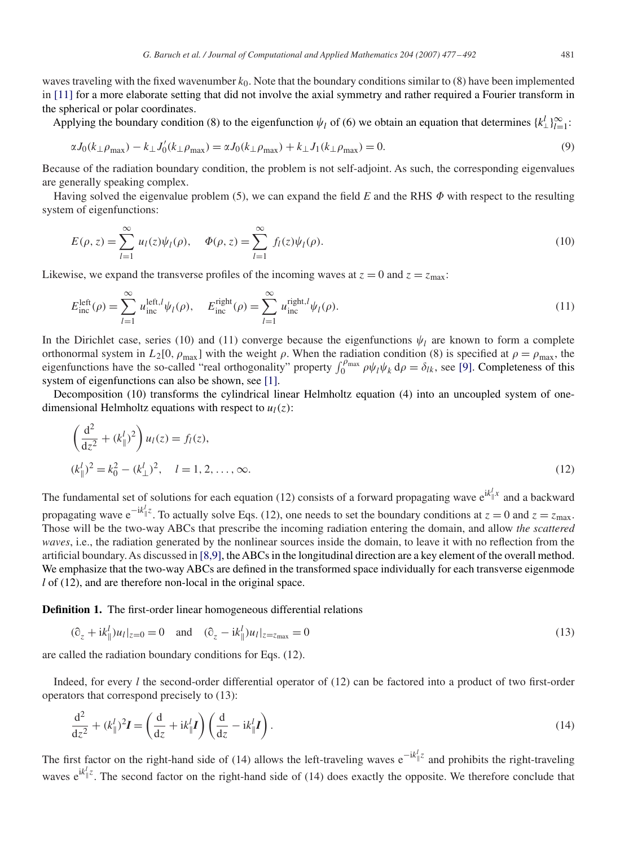waves traveling with the fixed wavenumber  $k_0$ . Note that the boundary conditions similar to (8) have been implemented in [\[11\]](#page-15-0) for a more elaborate setting that did not involve the axial symmetry and rather required a Fourier transform in the spherical or polar coordinates.

Applying the boundary condition (8) to the eigenfunction  $\psi_l$  of (6) we obtain an equation that determines  $\{k_\perp^l\}_{l=1}^\infty$ :

$$
\alpha J_0(k_\perp \rho_{\text{max}}) - k_\perp J_0'(k_\perp \rho_{\text{max}}) = \alpha J_0(k_\perp \rho_{\text{max}}) + k_\perp J_1(k_\perp \rho_{\text{max}}) = 0. \tag{9}
$$

Because of the radiation boundary condition, the problem is not self-adjoint. As such, the corresponding eigenvalues are generally speaking complex.

Having solved the eigenvalue problem (5), we can expand the field  $E$  and the RHS  $\Phi$  with respect to the resulting system of eigenfunctions:

$$
E(\rho, z) = \sum_{l=1}^{\infty} u_l(z) \psi_l(\rho), \quad \Phi(\rho, z) = \sum_{l=1}^{\infty} f_l(z) \psi_l(\rho).
$$
 (10)

Likewise, we expand the transverse profiles of the incoming waves at  $z = 0$  and  $z = z_{\text{max}}$ .

$$
E_{\text{inc}}^{\text{left}}(\rho) = \sum_{l=1}^{\infty} u_{\text{inc}}^{\text{left},l} \psi_l(\rho), \quad E_{\text{inc}}^{\text{right}}(\rho) = \sum_{l=1}^{\infty} u_{\text{inc}}^{\text{right},l} \psi_l(\rho). \tag{11}
$$

In the Dirichlet case, series (10) and (11) converge because the eigenfunctions  $\psi_l$  are known to form a complete orthonormal system in  $L_2[0, \rho_{\text{max}}]$  with the weight  $\rho$ . When the radiation condition (8) is specified at  $\rho = \rho_{\text{max}}$ , the eigenfunctions have the so-called "real orthogonality" property  $\int_0^{\rho_{\text{max}}} \rho \psi_l \psi_k d\rho = \delta_{lk}$ , see [\[9\].](#page-15-0) Completeness of this system of eigenfunctions can also be shown, see [\[1\].](#page-15-0)

Decomposition (10) transforms the cylindrical linear Helmholtz equation (4) into an uncoupled system of onedimensional Helmholtz equations with respect to  $u_l(z)$ :

$$
\left(\frac{d^2}{dz^2} + (k_{\parallel}^l)^2\right)u_l(z) = f_l(z),
$$
  

$$
(k_{\parallel}^l)^2 = k_0^2 - (k_{\perp}^l)^2, \quad l = 1, 2, ..., \infty.
$$
 (12)

The fundamental set of solutions for each equation (12) consists of a forward propagating wave  $e^{ik_0^T x}$  and a backward propagating wave e<sup>-ik|</sup><sup>*z*</sup>. To actually solve Eqs. (12), one needs to set the boundary conditions at *z* = 0 and *z* = *z*<sub>max</sub>. Those will be the two-way ABCs that prescribe the incoming radiation entering the domain, and allow *the scattered waves*, i.e., the radiation generated by the nonlinear sources inside the domain, to leave it with no reflection from the artificial boundary. As discussed in [8,9], the ABCs in the longitudinal direction are a key element of the overall method. We emphasize that the two-way ABCs are defined in the transformed space individually for each transverse eigenmode *l* of (12), and are therefore non-local in the original space.

**Definition 1.** The first-order linear homogeneous differential relations

$$
(\partial_z + ik_{\parallel}^l)u_l|_{z=0} = 0 \quad \text{and} \quad (\partial_z - ik_{\parallel}^l)u_l|_{z=z_{\text{max}}} = 0 \tag{13}
$$

are called the radiation boundary conditions for Eqs. (12).

Indeed, for every *l* the second-order differential operator of (12) can be factored into a product of two first-order operators that correspond precisely to (13):

$$
\frac{\mathrm{d}^2}{\mathrm{d}z^2} + (k_{\parallel}^l)^2 I = \left(\frac{\mathrm{d}}{\mathrm{d}z} + ik_{\parallel}^l I\right) \left(\frac{\mathrm{d}}{\mathrm{d}z} - ik_{\parallel}^l I\right). \tag{14}
$$

The first factor on the right-hand side of (14) allows the left-traveling waves e<sup>-ik<sub>||</sub>z</sup> and prohibits the right-traveling waves  $e^{ik\vert z}$ . The second factor on the right-hand side of (14) does exactly the opposite. We therefore conclude that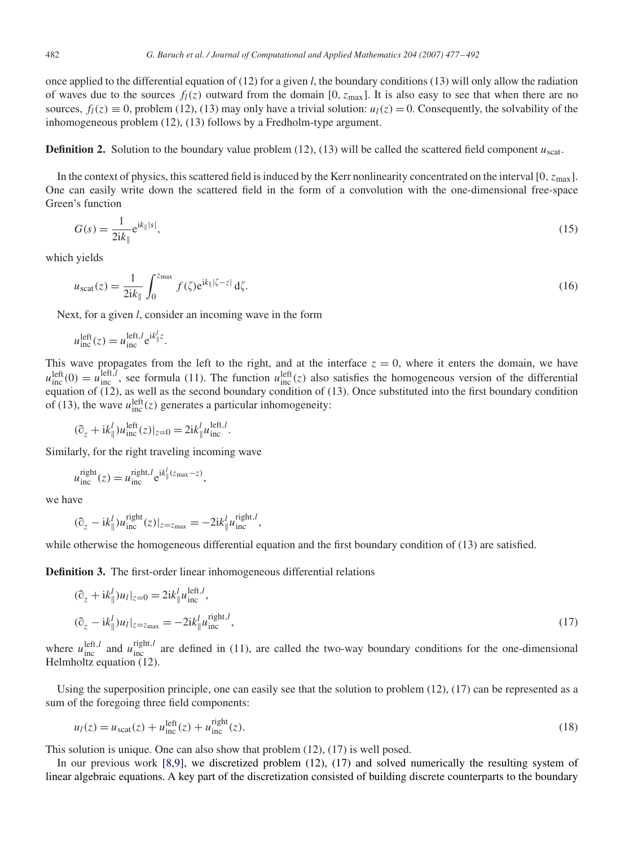once applied to the differential equation of (12) for a given *l*, the boundary conditions (13) will only allow the radiation of waves due to the sources  $f_l(z)$  outward from the domain [0,  $z_{\text{max}}$ ]. It is also easy to see that when there are no sources,  $f_l(z) \equiv 0$ , problem (12), (13) may only have a trivial solution:  $u_l(z) = 0$ . Consequently, the solvability of the inhomogeneous problem (12), (13) follows by a Fredholm-type argument.

**Definition 2.** Solution to the boundary value problem (12), (13) will be called the scattered field component  $u_{\text{scat}}$ .

In the context of physics, this scattered field is induced by the Kerr nonlinearity concentrated on the interval [0,  $z_{\text{max}}$ ]. One can easily write down the scattered field in the form of a convolution with the one-dimensional free-space Green's function

$$
G(s) = \frac{1}{2ik_{\parallel}} e^{ik_{\parallel} |s|},\tag{15}
$$

which yields

$$
u_{\text{scat}}(z) = \frac{1}{2ik_{\parallel}} \int_0^{z_{\text{max}}} f(\zeta) e^{ik_{\parallel}|\zeta - z|} d\zeta.
$$
 (16)

Next, for a given *l*, consider an incoming wave in the form

$$
u_{\text{inc}}^{\text{left}}(z) = u_{\text{inc}}^{\text{left},l} e^{\mathrm{i}k_{\parallel}^l z}.
$$

This wave propagates from the left to the right, and at the interface  $z = 0$ , where it enters the domain, we have  $u_{\text{inc}}^{\text{left}}(0) = u_{\text{inc}}^{\text{left},l}$ , see formula (11). The function  $u_{\text{inc}}^{\text{left}}(z)$  also satisfies the homogeneous version of the differential equation of  $(12)$ , as well as the second boundary condition of  $(13)$ . Once substituted into the first boundary condition of (13), the wave  $u_{\text{inc}}^{\text{left}}(z)$  generates a particular inhomogeneity:

$$
(\partial_z + ik^l_{\parallel})u_{\text{inc}}^{\text{left}}(z)|_{z=0} = 2ik^l_{\parallel}u_{\text{inc}}^{\text{left},l}.
$$

Similarly, for the right traveling incoming wave

$$
u_{\text{inc}}^{\text{right}}(z) = u_{\text{inc}}^{\text{right},l} e^{\mathrm{i}k_{\parallel}^{l}(z_{\text{max}}-z)},
$$

we have

$$
(\partial_z - i k_{\parallel}^l) u_{\text{inc}}^{\text{right}}(z)|_{z=z_{\text{max}}} = -2i k_{\parallel}^l u_{\text{inc}}^{\text{right},l},
$$

while otherwise the homogeneous differential equation and the first boundary condition of (13) are satisfied.

**Definition 3.** The first-order linear inhomogeneous differential relations

$$
(\partial_z + ik^l_{\parallel})u_l|_{z=0} = 2ik^l_{\parallel}u^{left,l}_{\text{inc}},
$$
  

$$
(\partial_z - ik^l_{\parallel})u_l|_{z=z_{\text{max}}} = -2ik^l_{\parallel}u^{right,l}_{\text{inc}},
$$
  
(17)

where  $u_{\text{inc}}^{\text{left},l}$  and  $u_{\text{inc}}^{\text{right},l}$  are defined in (11), are called the two-way boundary conditions for the one-dimensional Helmholtz equation (12).

Using the superposition principle, one can easily see that the solution to problem  $(12)$ ,  $(17)$  can be represented as a sum of the foregoing three field components:

$$
u_l(z) = u_{\text{scat}}(z) + u_{\text{inc}}^{\text{left}}(z) + u_{\text{inc}}^{\text{right}}(z). \tag{18}
$$

This solution is unique. One can also show that problem (12), (17) is well posed.

In our previous work [8,9], we discretized problem (12), (17) and solved numerically the resulting system of linear algebraic equations. A key part of the discretization consisted of building discrete counterparts to the boundary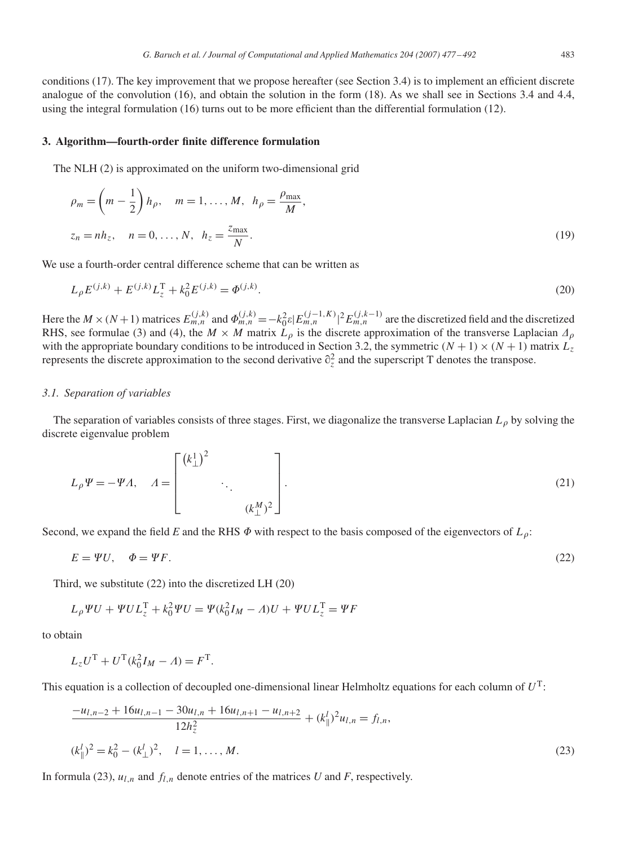conditions (17). The key improvement that we propose hereafter (see Section 3.4) is to implement an efficient discrete analogue of the convolution (16), and obtain the solution in the form (18). As we shall see in Sections 3.4 and 4.4, using the integral formulation (16) turns out to be more efficient than the differential formulation (12).

### **3. Algorithm—fourth-order finite difference formulation**

The NLH (2) is approximated on the uniform two-dimensional grid

$$
\rho_m = \left(m - \frac{1}{2}\right)h_\rho, \quad m = 1, \dots, M, \quad h_\rho = \frac{\rho_{\text{max}}}{M},
$$
  

$$
z_n = nh_z, \quad n = 0, \dots, N, \quad h_z = \frac{z_{\text{max}}}{N}.
$$
 (19)

We use a fourth-order central difference scheme that can be written as

$$
L_{\rho}E^{(j,k)} + E^{(j,k)}L_z^{\mathrm{T}} + k_0^2 E^{(j,k)} = \Phi^{(j,k)}.
$$
\n(20)

Here the  $M \times (N+1)$  matrices  $E_{m,n}^{(j,k)}$  and  $\Phi_{m,n}^{(j,k)} = -k_0^2 \varepsilon |E_{m,n}^{(j-1,K)}|^2 E_{m,n}^{(j,k-1)}$  are the discretized field and the discretized RHS, see formulae (3) and (4), the  $M \times M$  matrix  $L_\rho$  is the discrete approximation of the transverse Laplacian  $\Delta_\rho$ with the appropriate boundary conditions to be introduced in Section 3.2, the symmetric  $(N + 1) \times (N + 1)$  matrix  $L_z$ represents the discrete approximation to the second derivative  $\partial_z^2$  and the superscript T denotes the transpose.

#### *3.1. Separation of variables*

The separation of variables consists of three stages. First, we diagonalize the transverse Laplacian  $L_0$  by solving the discrete eigenvalue problem

$$
L_{\rho}\Psi = -\Psi \Lambda, \quad \Lambda = \begin{bmatrix} \left(k_{\perp}^{1}\right)^{2} & & \\ & \ddots & \\ & & \left(k_{\perp}^{M}\right)^{2} \end{bmatrix} . \tag{21}
$$

Second, we expand the field *E* and the RHS  $\Phi$  with respect to the basis composed of the eigenvectors of  $L_{\rho}$ :

$$
E = \Psi U, \quad \Phi = \Psi F. \tag{22}
$$

Third, we substitute (22) into the discretized LH (20)

$$
L_{\rho}\Psi U + \Psi U L_{z}^{T} + k_{0}^{2}\Psi U = \Psi(k_{0}^{2}I_{M} - A)U + \Psi UL_{z}^{T} = \Psi F
$$

to obtain

$$
L_z U^{\rm T} + U^{\rm T} (k_0^2 I_M - A) = F^{\rm T}.
$$

This equation is a collection of decoupled one-dimensional linear Helmholtz equations for each column of *U*T:

$$
\frac{-u_{l,n-2} + 16u_{l,n-1} - 30u_{l,n} + 16u_{l,n+1} - u_{l,n+2}}{12h_z^2} + (k_{\parallel}^l)^2 u_{l,n} = f_{l,n},
$$
  

$$
(k_{\parallel}^l)^2 = k_0^2 - (k_{\perp}^l)^2, \quad l = 1, ..., M.
$$
 (23)

In formula (23),  $u_{l,n}$  and  $f_{l,n}$  denote entries of the matrices *U* and *F*, respectively.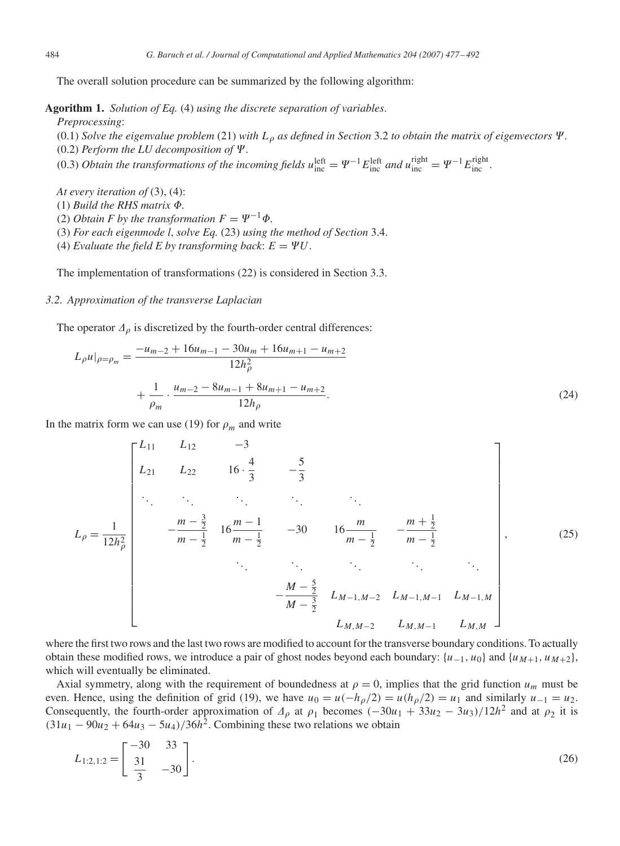The overall solution procedure can be summarized by the following algorithm:

**Agorithm 1.** *Solution of Eq.* (4) *using the discrete separation of variables*.

*Preprocessing*:

(0.1) *Solve the eigenvalue problem* (21) *with*  $L_{\rho}$  *as defined in Section* 3.2 *to obtain the matrix of eigenvectors*  $\Psi$ .  $(0.2)$  *Perform the LU decomposition of*  $\Psi$ .

(0.3) *Obtain the transformations of the incoming fields*  $u_{\text{inc}}^{\text{left}} = \Psi^{-1} E_{\text{inc}}^{\text{left}}$  *and*  $u_{\text{inc}}^{\text{right}} = \Psi^{-1} E_{\text{inc}}^{\text{right}}$ *.* 

*At every iteration of* (3), (4):

 $(1)$  *Build the RHS matrix*  $\Phi$ .

(2) *Obtain F by the transformation*  $F = \Psi^{-1} \Phi$ .

(3) *For each eigenmode l*, *solve Eq.* (23) *using the method of Section* 3.4.

(4) *Evaluate the field E by transforming back:*  $E = \Psi U$ .

The implementation of transformations (22) is considered in Section 3.3.

# *3.2. Approximation of the transverse Laplacian*

The operator  $\Delta_{\rho}$  is discretized by the fourth-order central differences:

$$
L_{\rho}u|_{\rho=\rho_m} = \frac{-u_{m-2} + 16u_{m-1} - 30u_m + 16u_{m+1} - u_{m+2}}{12h_{\rho}^2} + \frac{1}{\rho_m} \cdot \frac{u_{m-2} - 8u_{m-1} + 8u_{m+1} - u_{m+2}}{12h_{\rho}}.
$$
\n(24)

In the matrix form we can use (19) for  $\rho_m$  and write

$$
L_{\rho} = \frac{1}{12h_{\rho}^{2}} \begin{bmatrix} L_{11} & L_{12} & -3 \\ L_{21} & L_{22} & 16 \cdot \frac{4}{3} & -\frac{5}{3} \\ \vdots & \vdots & \ddots & \vdots \\ -\frac{m-\frac{3}{2}}{m-\frac{1}{2}} & 16\frac{m-1}{m-\frac{1}{2}} & -30 & 16\frac{m}{m-\frac{1}{2}} & -\frac{m+\frac{1}{2}}{m-\frac{1}{2}} \\ \vdots & \vdots & \ddots & \vdots \\ -\frac{M-\frac{5}{2}}{M-\frac{3}{2}} & L_{M-1,M-2} & L_{M-1,M-1} & L_{M-1,M} \\ L_{M,M-2} & L_{M,M-1} & L_{M,M} \end{bmatrix},
$$
(25)

where the first two rows and the last two rows are modified to account for the transverse boundary conditions. To actually obtain these modified rows, we introduce a pair of ghost nodes beyond each boundary:  $\{u_{-1}, u_0\}$  and  $\{u_{M+1}, u_{M+2}\}$ , which will eventually be eliminated.

Axial symmetry, along with the requirement of boundedness at  $\rho = 0$ , implies that the grid function  $u_m$  must be even. Hence, using the definition of grid (19), we have  $u_0 = u(-h_\rho/2) = u(h_\rho/2) = u_1$  and similarly  $u_{-1} = u_2$ . Consequently, the fourth-order approximation of  $A_\rho$  at  $\rho_1$  becomes  $(-30u_1 + 33u_2 - 3u_3)/12h^2$  and at  $\rho_2$  it is  $(31u_1 - 90u_2 + 64u_3 - 5u_4)/36h^2$ . Combining these two relations we obtain

$$
L_{1:2,1:2} = \begin{bmatrix} -30 & 33 \\ 31 & -30 \end{bmatrix}.
$$
 (26)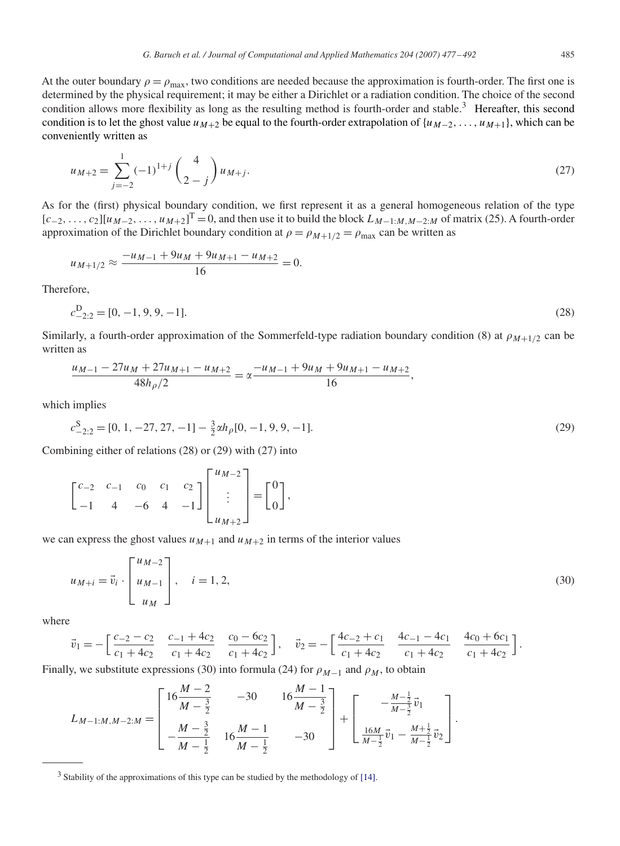At the outer boundary  $\rho = \rho_{\text{max}}$ , two conditions are needed because the approximation is fourth-order. The first one is determined by the physical requirement; it may be either a Dirichlet or a radiation condition. The choice of the second condition allows more flexibility as long as the resulting method is fourth-order and stable.<sup>3</sup> Hereafter, this second condition is to let the ghost value  $u_{M+2}$  be equal to the fourth-order extrapolation of  $\{u_{M-2}, \ldots, u_{M+1}\}$ , which can be conveniently written as

$$
u_{M+2} = \sum_{j=-2}^{1} (-1)^{1+j} \binom{4}{2-j} u_{M+j}.
$$
\n(27)

As for the (first) physical boundary condition, we first represent it as a general homogeneous relation of the type  $[c_{-2},...,c_2][u_{M-2},...,u_{M+2}]^T = 0$ , and then use it to build the block  $L_{M-1:M,M-2:M}$  of matrix (25). A fourth-order approximation of the Dirichlet boundary condition at  $\rho = \rho_{M+1/2} = \rho_{\text{max}}$  can be written as

$$
u_{M+1/2} \approx \frac{-u_{M-1} + 9u_M + 9u_{M+1} - u_{M+2}}{16} = 0.
$$

Therefore,

$$
c_{-2;2}^{\mathcal{D}} = [0, -1, 9, 9, -1].
$$
\n<sup>(28)</sup>

Similarly, a fourth-order approximation of the Sommerfeld-type radiation boundary condition (8) at  $\rho_{M+1/2}$  can be written as

$$
\frac{u_{M-1} - 27u_M + 27u_{M+1} - u_{M+2}}{48h_{\rho}/2} = \alpha \frac{-u_{M-1} + 9u_M + 9u_{M+1} - u_{M+2}}{16},
$$

which implies

$$
c_{-2;2}^S = [0, 1, -27, 27, -1] - \frac{3}{2} \alpha h_\rho [0, -1, 9, 9, -1].
$$
\n(29)

Combining either of relations (28) or (29) with (27) into

$$
\begin{bmatrix} c_{-2} & c_{-1} & c_0 & c_1 & c_2 \ -1 & 4 & -6 & 4 & -1 \ \end{bmatrix} \begin{bmatrix} u_{M-2} \\ \vdots \\ u_{M+2} \end{bmatrix} = \begin{bmatrix} 0 \\ 0 \end{bmatrix},
$$

we can express the ghost values  $u_{M+1}$  and  $u_{M+2}$  in terms of the interior values

$$
u_{M+i} = \vec{v}_i \cdot \begin{bmatrix} u_{M-2} \\ u_{M-1} \\ u_M \end{bmatrix}, \quad i = 1, 2,
$$
\n
$$
(30)
$$

where

$$
\vec{v}_1 = -\left[\frac{c_{-2} - c_2}{c_1 + 4c_2} \quad \frac{c_{-1} + 4c_2}{c_1 + 4c_2} \quad \frac{c_0 - 6c_2}{c_1 + 4c_2}\right], \quad \vec{v}_2 = -\left[\frac{4c_{-2} + c_1}{c_1 + 4c_2} \quad \frac{4c_{-1} - 4c_1}{c_1 + 4c_2} \quad \frac{4c_0 + 6c_1}{c_1 + 4c_2}\right].
$$

Finally, we substitute expressions (30) into formula (24) for  $\rho_{M-1}$  and  $\rho_M$ , to obtain

$$
L_{M-1:M,M-2:M} = \begin{bmatrix} 16\frac{M-2}{M-\frac{3}{2}} & -30 & 16\frac{M-1}{M-\frac{3}{2}} \\ -\frac{M-\frac{3}{2}}{M-\frac{1}{2}} & 16\frac{M-1}{M-\frac{1}{2}} & -30 \end{bmatrix} + \begin{bmatrix} -\frac{M-\frac{1}{2}}{M-\frac{3}{2}}\vec{v}_1 \\ \frac{16M}{M-\frac{1}{2}}\vec{v}_1 - \frac{M+\frac{1}{2}}{M-\frac{1}{2}}\vec{v}_2 \end{bmatrix}.
$$

<sup>3</sup> Stability of the approximations of this type can be studied by the methodology of [\[14\].](#page-15-0)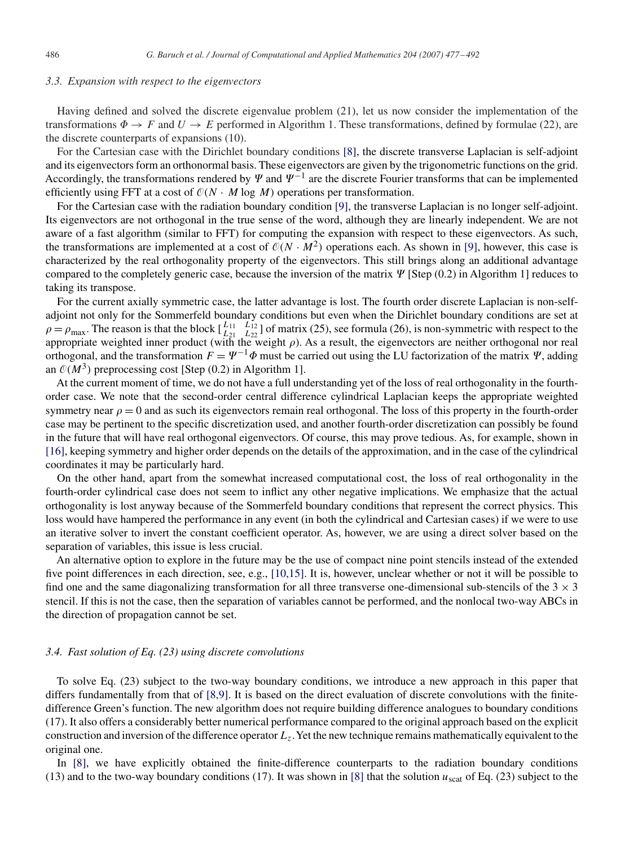## *3.3. Expansion with respect to the eigenvectors*

Having defined and solved the discrete eigenvalue problem (21), let us now consider the implementation of the transformations  $\Phi \to F$  and  $U \to E$  performed in Algorithm 1. These transformations, defined by formulae (22), are the discrete counterparts of expansions (10).

For the Cartesian case with the Dirichlet boundary conditions [\[8\],](#page-15-0) the discrete transverse Laplacian is self-adjoint and its eigenvectors form an orthonormal basis. These eigenvectors are given by the trigonometric functions on the grid. Accordingly, the transformations rendered by  $\Psi$  and  $\Psi^{-1}$  are the discrete Fourier transforms that can be implemented efficiently using FFT at a cost of  $O(N \cdot M \log M)$  operations per transformation.

For the Cartesian case with the radiation boundary condition [\[9\],](#page-15-0) the transverse Laplacian is no longer self-adjoint. Its eigenvectors are not orthogonal in the true sense of the word, although they are linearly independent. We are not aware of a fast algorithm (similar to FFT) for computing the expansion with respect to these eigenvectors. As such, the transformations are implemented at a cost of  $O(N \cdot M^2)$  operations each. As shown in [\[9\],](#page-15-0) however, this case is characterized by the real orthogonality property of the eigenvectors. This still brings along an additional advantage compared to the completely generic case, because the inversion of the matrix  $\Psi$  [Step (0.2) in Algorithm 1] reduces to taking its transpose.

For the current axially symmetric case, the latter advantage is lost. The fourth order discrete Laplacian is non-selfadjoint not only for the Sommerfeld boundary conditions but even when the Dirichlet boundary conditions are set at  $\rho = \rho_{\text{max}}$ . The reason is that the block  $\begin{bmatrix} L_{11} \\ L_{21} \end{bmatrix}$ *L*21  $L_{12}^{L_{12}}$ ] of matrix (25), see formula (26), is non-symmetric with respect to the appropriate weighted inner product (with the weight  $\rho$ ). As a result, the eigenvectors are neither orthogonal nor real orthogonal, and the transformation  $F = \Psi^{-1} \Phi$  must be carried out using the LU factorization of the matrix  $\Psi$ , adding an  $O(M^3)$  preprocessing cost [Step (0.2) in Algorithm 1].

At the current moment of time, we do not have a full understanding yet of the loss of real orthogonality in the fourthorder case. We note that the second-order central difference cylindrical Laplacian keeps the appropriate weighted symmetry near  $\rho = 0$  and as such its eigenvectors remain real orthogonal. The loss of this property in the fourth-order case may be pertinent to the specific discretization used, and another fourth-order discretization can possibly be found in the future that will have real orthogonal eigenvectors. Of course, this may prove tedious. As, for example, shown in [\[16\],](#page-15-0) keeping symmetry and higher order depends on the details of the approximation, and in the case of the cylindrical coordinates it may be particularly hard.

On the other hand, apart from the somewhat increased computational cost, the loss of real orthogonality in the fourth-order cylindrical case does not seem to inflict any other negative implications. We emphasize that the actual orthogonality is lost anyway because of the Sommerfeld boundary conditions that represent the correct physics. This loss would have hampered the performance in any event (in both the cylindrical and Cartesian cases) if we were to use an iterative solver to invert the constant coefficient operator. As, however, we are using a direct solver based on the separation of variables, this issue is less crucial.

An alternative option to explore in the future may be the use of compact nine point stencils instead of the extended five point differences in each direction, see, e.g., [10,15]. It is, however, unclear whether or not it will be possible to find one and the same diagonalizing transformation for all three transverse one-dimensional sub-stencils of the  $3 \times 3$ stencil. If this is not the case, then the separation of variables cannot be performed, and the nonlocal two-way ABCs in the direction of propagation cannot be set.

# *3.4. Fast solution of Eq. (23) using discrete convolutions*

To solve Eq. (23) subject to the two-way boundary conditions, we introduce a new approach in this paper that differs fundamentally from that of [8,9]. It is based on the direct evaluation of discrete convolutions with the finitedifference Green's function. The new algorithm does not require building difference analogues to boundary conditions (17). It also offers a considerably better numerical performance compared to the original approach based on the explicit construction and inversion of the difference operator*Lz*.Yet the new technique remains mathematically equivalent to the original one.

In [\[8\],](#page-15-0) we have explicitly obtained the finite-difference counterparts to the radiation boundary conditions (13) and to the two-way boundary conditions (17). It was shown in [\[8\]](#page-15-0) that the solution *u*scat of Eq. (23) subject to the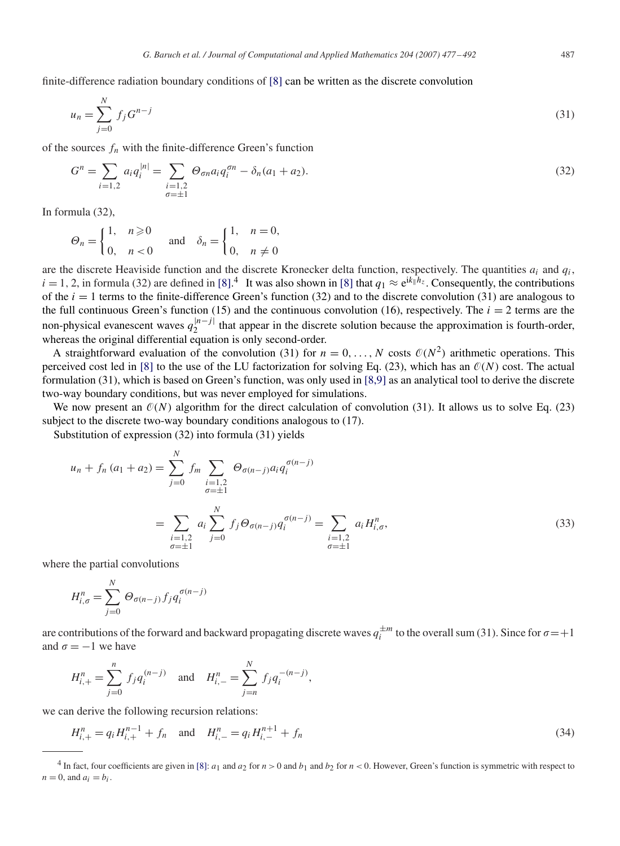finite-difference radiation boundary conditions of [\[8\]](#page-15-0) can be written as the discrete convolution

$$
u_n = \sum_{j=0}^{N} f_j G^{n-j}
$$
\n(31)

of the sources  $f_n$  with the finite-difference Green's function

$$
G^{n} = \sum_{i=1,2} a_{i} q_{i}^{|n|} = \sum_{\substack{i=1,2 \ \sigma = \pm 1}} \Theta_{\sigma n} a_{i} q_{i}^{\sigma n} - \delta_{n} (a_{1} + a_{2}).
$$
\n(32)

In formula (32),

$$
\Theta_n = \begin{cases} 1, & n \geq 0 \\ 0, & n < 0 \end{cases} \quad \text{and} \quad \delta_n = \begin{cases} 1, & n = 0, \\ 0, & n \neq 0 \end{cases}
$$

are the discrete Heaviside function and the discrete Kronecker delta function, respectively. The quantities  $a_i$  and  $q_i$ ,  $i = 1, 2$ , in formula (32) are defined in [\[8\].](#page-15-0)<sup>4</sup> It was also shown in [\[8\]](#page-15-0) that  $q_1 \approx e^{ik_1h_z}$ . Consequently, the contributions of the  $i = 1$  terms to the finite-difference Green's function (32) and to the discrete convolution (31) are analogous to the full continuous Green's function (15) and the continuous convolution (16), respectively. The  $i = 2$  terms are the non-physical evanescent waves  $q_2^{|n-j|}$  that appear in the discrete solution because the approximation is fourth-order, whereas the original differential equation is only second-order.

A straightforward evaluation of the convolution (31) for  $n = 0, \ldots, N$  costs  $\mathcal{O}(N^2)$  arithmetic operations. This perceived cost led in [\[8\]](#page-15-0) to the use of the LU factorization for solving Eq. (23), which has an  $O(N)$  cost. The actual formulation (31), which is based on Green's function, was only used in [8,9] as an analytical tool to derive the discrete two-way boundary conditions, but was never employed for simulations.

We now present an  $O(N)$  algorithm for the direct calculation of convolution (31). It allows us to solve Eq. (23) subject to the discrete two-way boundary conditions analogous to (17).

Substitution of expression (32) into formula (31) yields

$$
u_n + f_n(a_1 + a_2) = \sum_{j=0}^{N} f_m \sum_{\substack{i=1,2 \\ \sigma = \pm 1}} \Theta_{\sigma(n-j)} a_i q_i^{\sigma(n-j)}
$$
  
= 
$$
\sum_{\substack{i=1,2 \\ \sigma = \pm 1}} a_i \sum_{j=0}^{N} f_j \Theta_{\sigma(n-j)} q_i^{\sigma(n-j)} = \sum_{\substack{i=1,2 \\ \sigma = \pm 1}} a_i H_{i,\sigma}^n,
$$
 (33)

where the partial convolutions

$$
H_{i,\sigma}^{n} = \sum_{j=0}^{N} \Theta_{\sigma(n-j)} f_j q_i^{\sigma(n-j)}
$$

are contributions of the forward and backward propagating discrete waves  $q_i^{\pm m}$  to the overall sum (31). Since for  $\sigma = +1$ and  $\sigma = -1$  we have

$$
H_{i,+}^{n} = \sum_{j=0}^{n} f_j q_i^{(n-j)} \text{ and } H_{i,-}^{n} = \sum_{j=n}^{N} f_j q_i^{-(n-j)},
$$

we can derive the following recursion relations:

$$
H_{i,+}^{n} = q_i H_{i,+}^{n-1} + f_n \quad \text{and} \quad H_{i,-}^{n} = q_i H_{i,-}^{n+1} + f_n \tag{34}
$$

<sup>&</sup>lt;sup>4</sup> In fact, four coefficients are given in [\[8\]:](#page-15-0)  $a_1$  and  $a_2$  for  $n > 0$  and  $b_1$  and  $b_2$  for  $n < 0$ . However, Green's function is symmetric with respect to  $n = 0$ , and  $a_i = b_i$ .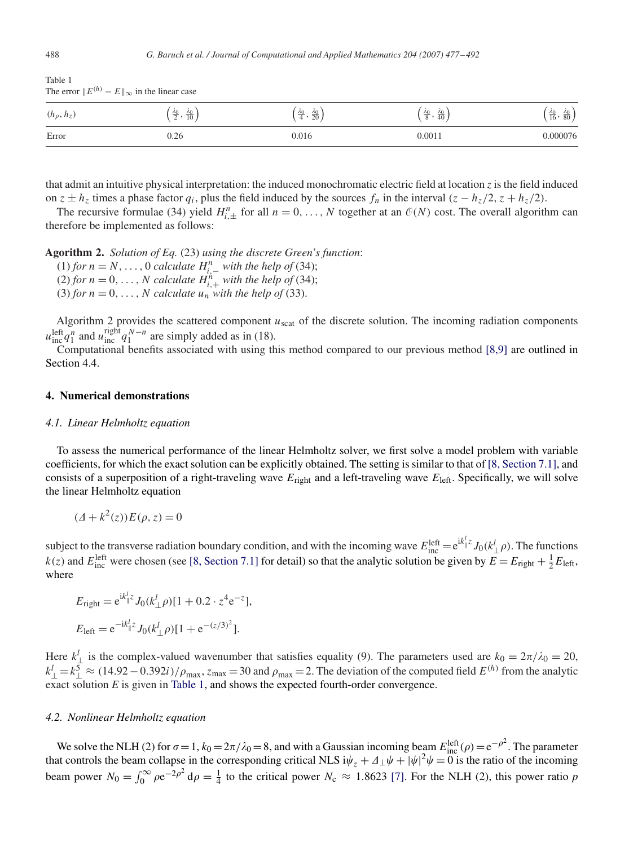| $\frac{1}{2}$   | $\sim$ $\approx$ $\approx$ $\sim$ $\sim$ $\sim$ $\sim$ $\sim$ |                                             |                                                   |                                              |
|-----------------|---------------------------------------------------------------|---------------------------------------------|---------------------------------------------------|----------------------------------------------|
| $(h_\rho, h_z)$ | $\frac{\lambda_0}{2}, \frac{\lambda_0}{10}$                   | $\frac{\lambda_0}{4}, \frac{\lambda_0}{20}$ | $\frac{\lambda_0}{2}$ .<br>$\frac{\lambda_0}{40}$ | $\frac{\lambda_0}{16}, \frac{\lambda_0}{80}$ |
| Error           | 0.26                                                          | 0.016                                       | 0.0011                                            | 0.000076                                     |

that admit an intuitive physical interpretation: the induced monochromatic electric field at location *z* is the field induced on  $z \pm h_z$  times a phase factor  $q_i$ , plus the field induced by the sources  $f_n$  in the interval  $(z - h_z/2, z + h_z/2)$ .

The recursive formulae (34) yield  $H_{i,\pm}^n$  for all  $n = 0, \ldots, N$  together at an  $\mathcal{O}(N)$  cost. The overall algorithm can therefore be implemented as follows:

**Agorithm 2.** *Solution of Eq.* (23) *using the discrete Green*'*s function*:

- (1) *for n* = *N*, ..., 0 *calculate*  $H_{i,-}^n$  *with the help of* (34);
- (2) *for*  $n = 0, \ldots, N$  *calculate*  $H_{i,+}^n$  *with the help of* (34);
- (3) *for*  $n = 0, \ldots, N$  *calculate*  $u_n$  *with the help of* (33).

Algorithm 2 provides the scattered component  $u_{scat}$  of the discrete solution. The incoming radiation components  $u_{\text{inc}}^{\text{left}} q_1^n$  and  $u_{\text{inc}}^{\text{right}} q_1^{N-n}$  are simply added as in (18).

Computational benefits associated with using this method compared to our previous method  $[8,9]$  are outlined in Section 4.4.

## **4. Numerical demonstrations**

#### *4.1. Linear Helmholtz equation*

To assess the numerical performance of the linear Helmholtz solver, we first solve a model problem with variable coefficients, for which the exact solution can be explicitly obtained. The setting is similar to that of [\[8, Section 7.1\],](#page-15-0) and consists of a superposition of a right-traveling wave  $E_{\text{right}}$  and a left-traveling wave  $E_{\text{left}}$ . Specifically, we will solve the linear Helmholtz equation

$$
(\Delta + k^2(z))E(\rho, z) = 0
$$

subject to the transverse radiation boundary condition, and with the incoming wave  $E_{\text{inc}}^{\text{left}} = e^{ik_0^l z} J_0(k_\perp^l \rho)$ . The functions  $k(z)$  and  $E_{\text{inc}}^{\text{left}}$  were chosen (see [\[8, Section 7.1\]](#page-15-0) for detail) so that the analytic solution be given by  $E = E_{\text{right}} + \frac{1}{2}E_{\text{left}}$ , where

$$
E_{\text{right}} = e^{ik_{\parallel}^{l}z} J_0(k_{\perp}^{l} \rho)[1 + 0.2 \cdot z^4 e^{-z}],
$$
  

$$
E_{\text{left}} = e^{-ik_{\parallel}^{l}z} J_0(k_{\perp}^{l} \rho)[1 + e^{-(z/3)^2}].
$$

Here  $k_{\perp}^{l}$  is the complex-valued wavenumber that satisfies equality (9). The parameters used are  $k_0 = 2\pi/\lambda_0 = 20$ ,  $k_{\perp}^l = k_{\perp}^5 \approx (14.92 - 0.392i)/\rho_{\text{max}}$ ,  $z_{\text{max}} = 30$  and  $\rho_{\text{max}} = 2$ . The deviation of the computed field  $E^{(h)}$  from the analytic exact solution *E* is given in Table 1, and shows the expected fourth-order convergence.

#### *4.2. Nonlinear Helmholtz equation*

We solve the NLH (2) for  $\sigma = 1$ ,  $k_0 = 2\pi/\lambda_0 = 8$ , and with a Gaussian incoming beam  $E_{\text{inc}}^{\text{left}}(\rho) = e^{-\rho^2}$ . The parameter that controls the beam collapse in the corresponding critical NLS i $\psi_z + \Delta_\perp \psi + |\psi|^2 \psi = 0$  is the ratio of the incoming beam power  $N_0 = \int_0^\infty \rho e^{-2\rho^2} d\rho = \frac{1}{4}$  to the critical power  $N_c \approx 1.8623$  [\[7\].](#page-15-0) For the NLH (2), this power ratio *p* 

Table 1 The error  $||E^{(h)} - E||_{\infty}$  in the linear case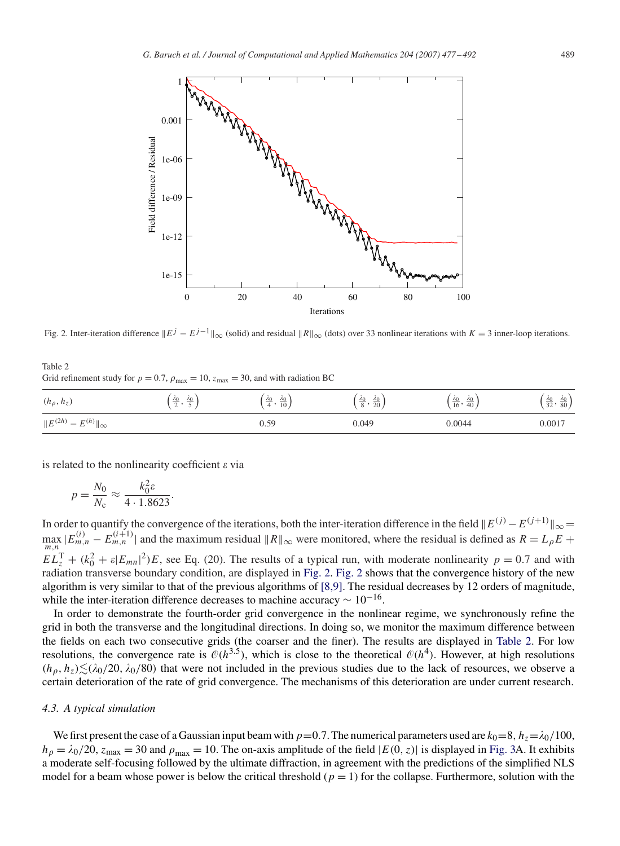

Fig. 2. Inter-iteration difference  $||E^j - E^{j-1}||_{\infty}$  (solid) and residual  $||R||_{\infty}$  (dots) over 33 nonlinear iterations with  $K = 3$  inner-loop iterations.

## Table 2 Grid refinement study for  $p = 0.7$ ,  $\rho_{\text{max}} = 10$ ,  $z_{\text{max}} = 30$ , and with radiation BC

| $(h_\rho, h_z)$                   | $\frac{40}{2}$<br>- AP | $\lambda_0$<br>$rac{\lambda_0}{10}$<br>$-$ | $,\frac{\lambda_0}{20}$<br>$\frac{40}{8}$ | $\frac{\lambda_0}{16}, \frac{\lambda_0}{40}$ | $\left(\frac{\lambda_0}{32}, \frac{\lambda_0}{80}\right)$ |
|-----------------------------------|------------------------|--------------------------------------------|-------------------------------------------|----------------------------------------------|-----------------------------------------------------------|
| $  E^{(2h)} - E^{(h)}  _{\infty}$ |                        | 0.59                                       | 0.049                                     | 0.0044                                       | 0.001                                                     |

is related to the nonlinearity coefficient  $\varepsilon$  via

$$
p = \frac{N_0}{N_c} \approx \frac{k_0^2 \varepsilon}{4 \cdot 1.8623}.
$$

In order to quantify the convergence of the iterations, both the inter-iteration difference in the field  $||E^{(j)} - E^{(j+1)}||_{\infty} =$  $\lim_{m,n} |E_{m,n}^{(i)} - E_{m,n}^{(i+1)}|$  and the maximum residual  $||R||_{\infty}$  were monitored, where the residual is defined as  $R = L_{\rho}E +$  $EL_z^{\text{T}} + (k_0^2 + \varepsilon |E_{mn}|^2)E$ , see Eq. (20). The results of a typical run, with moderate nonlinearity  $p = 0.7$  and with radiation transverse boundary condition, are displayed in Fig. 2. Fig. 2 shows that the convergence history of the new algorithm is very similar to that of the previous algorithms of [8,9]. The residual decreases by 12 orders of magnitude, while the inter-iteration difference decreases to machine accuracy  $\sim 10^{-16}$ .

In order to demonstrate the fourth-order grid convergence in the nonlinear regime, we synchronously refine the grid in both the transverse and the longitudinal directions. In doing so, we monitor the maximum difference between the fields on each two consecutive grids (the coarser and the finer). The results are displayed in Table 2. For low resolutions, the convergence rate is  $O(h^{3.5})$ , which is close to the theoretical  $O(h^4)$ . However, at high resolutions  $(h_{\rho}, h_{z}) \leq (\lambda_0/20, \lambda_0/80)$  that were not included in the previous studies due to the lack of resources, we observe a certain deterioration of the rate of grid convergence. The mechanisms of this deterioration are under current research.

# *4.3. A typical simulation*

We first present the case of a Gaussian input beam with  $p=0.7$ . The numerical parameters used are  $k_0=8$ ,  $h_z=\lambda_0/100$ ,  $h_{\rho} = \lambda_0/20$ ,  $z_{\text{max}} = 30$  and  $\rho_{\text{max}} = 10$ . The on-axis amplitude of the field  $|E(0, z)|$  is displayed in [Fig. 3A](#page-13-0). It exhibits a moderate self-focusing followed by the ultimate diffraction, in agreement with the predictions of the simplified NLS model for a beam whose power is below the critical threshold  $(p = 1)$  for the collapse. Furthermore, solution with the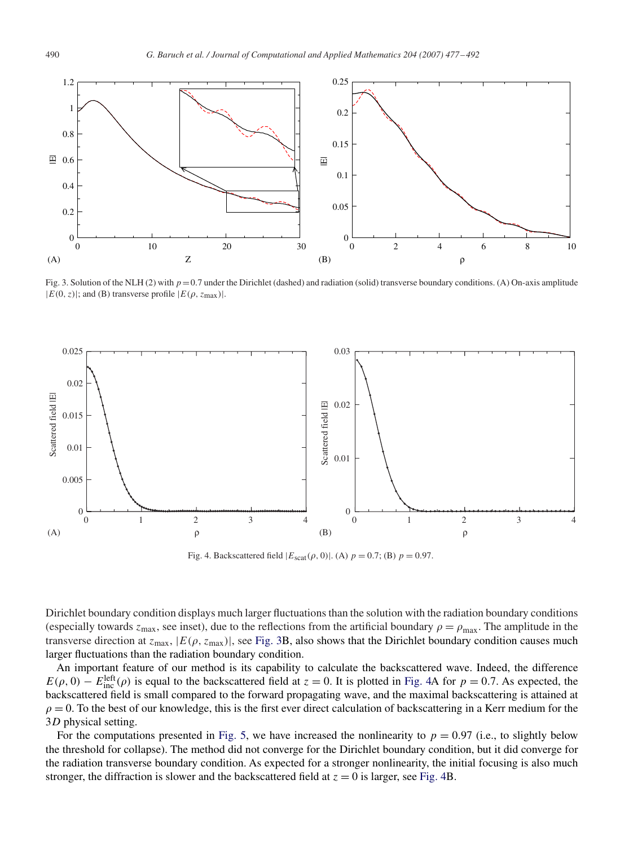<span id="page-13-0"></span>

Fig. 3. Solution of the NLH (2) with  $p=0.7$  under the Dirichlet (dashed) and radiation (solid) transverse boundary conditions. (A) On-axis amplitude  $|E(0, z)|$ ; and (B) transverse profile  $|E(\rho, z_{\text{max}})|$ .



Fig. 4. Backscattered field  $|E_{scat}(\rho, 0)|$ . (A)  $p = 0.7$ ; (B)  $p = 0.97$ .

Dirichlet boundary condition displays much larger fluctuations than the solution with the radiation boundary conditions (especially towards  $z_{\text{max}}$ , see inset), due to the reflections from the artificial boundary  $\rho = \rho_{\text{max}}$ . The amplitude in the transverse direction at  $z_{\text{max}}$ ,  $|E(\rho, z_{\text{max}})|$ , see Fig. 3B, also shows that the Dirichlet boundary condition causes much larger fluctuations than the radiation boundary condition.

An important feature of our method is its capability to calculate the backscattered wave. Indeed, the difference  $E(\rho, 0) - E_{\text{inc}}^{\text{left}}(\rho)$  is equal to the backscattered field at  $z = 0$ . It is plotted in Fig. 4A for  $p = 0.7$ . As expected, the backscattered field is small compared to the forward propagating wave, and the maximal backscattering is attained at  $\rho = 0$ . To the best of our knowledge, this is the first ever direct calculation of backscattering in a Kerr medium for the 3*D* physical setting.

For the computations presented in [Fig. 5,](#page-14-0) we have increased the nonlinearity to  $p = 0.97$  (i.e., to slightly below the threshold for collapse). The method did not converge for the Dirichlet boundary condition, but it did converge for the radiation transverse boundary condition. As expected for a stronger nonlinearity, the initial focusing is also much stronger, the diffraction is slower and the backscattered field at  $z = 0$  is larger, see Fig. 4B.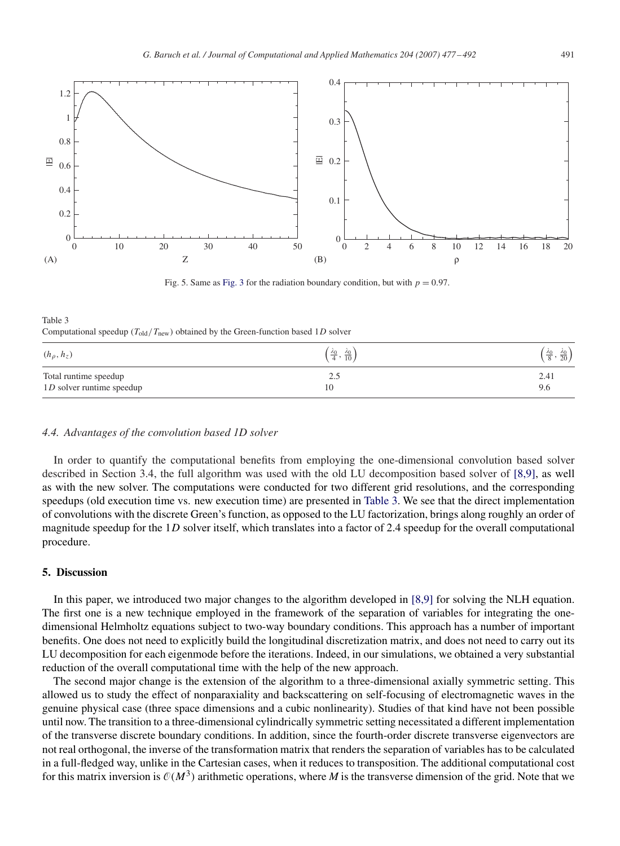<span id="page-14-0"></span>

Fig. 5. Same as [Fig. 3](#page-13-0) for the radiation boundary condition, but with  $p = 0.97$ .

Computational speedup  $(T_{old}/T_{new})$  obtained by the Green-function based 1*D* solver

| $(h_{\rho}, h_{z})$       | $\frac{\lambda_0}{4}, \frac{\lambda_0}{10}$ | $\frac{\lambda_0}{8}, \frac{\lambda_0}{20}$ |
|---------------------------|---------------------------------------------|---------------------------------------------|
| Total runtime speedup     | ل و ک                                       | 2.41                                        |
| 1D solver runtime speedup | 10                                          | 9.6                                         |

#### *4.4. Advantages of the convolution based 1D solver*

In order to quantify the computational benefits from employing the one-dimensional convolution based solver described in Section 3.4, the full algorithm was used with the old LU decomposition based solver of [8,9], as well as with the new solver. The computations were conducted for two different grid resolutions, and the corresponding speedups (old execution time vs. new execution time) are presented in Table 3. We see that the direct implementation of convolutions with the discrete Green's function, as opposed to the LU factorization, brings along roughly an order of magnitude speedup for the 1*D* solver itself, which translates into a factor of 2.4 speedup for the overall computational procedure.

## **5. Discussion**

Table 3

In this paper, we introduced two major changes to the algorithm developed in [8,9] for solving the NLH equation. The first one is a new technique employed in the framework of the separation of variables for integrating the onedimensional Helmholtz equations subject to two-way boundary conditions. This approach has a number of important benefits. One does not need to explicitly build the longitudinal discretization matrix, and does not need to carry out its LU decomposition for each eigenmode before the iterations. Indeed, in our simulations, we obtained a very substantial reduction of the overall computational time with the help of the new approach.

The second major change is the extension of the algorithm to a three-dimensional axially symmetric setting. This allowed us to study the effect of nonparaxiality and backscattering on self-focusing of electromagnetic waves in the genuine physical case (three space dimensions and a cubic nonlinearity). Studies of that kind have not been possible until now. The transition to a three-dimensional cylindrically symmetric setting necessitated a different implementation of the transverse discrete boundary conditions. In addition, since the fourth-order discrete transverse eigenvectors are not real orthogonal, the inverse of the transformation matrix that renders the separation of variables has to be calculated in a full-fledged way, unlike in the Cartesian cases, when it reduces to transposition. The additional computational cost for this matrix inversion is  $O(M^3)$  arithmetic operations, where *M* is the transverse dimension of the grid. Note that we